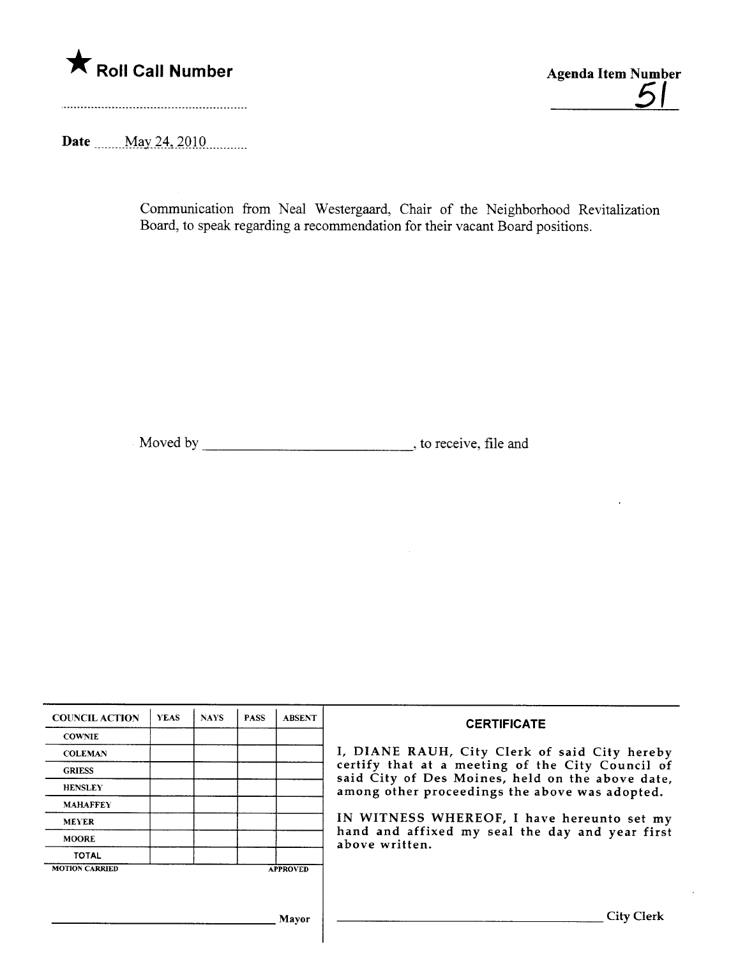

<u>51</u>

 $\ddot{\phantom{1}}$ 

Date \_\_\_\_\_\_ May 24, 2010 \_\_\_\_\_\_\_

Communication from Neal Westergaad, Chair of the Neighborhood Revitalization Board, to speak regarding a recommendation for their vacant Board positions.

Moved by \_\_\_\_\_\_\_\_\_\_\_\_\_\_\_\_\_\_\_\_\_\_\_\_\_\_\_\_\_\_\_\_\_\_, to receive, file and

| <b>COUNCIL ACTION</b> | <b>YEAS</b> | <b>NAYS</b> | <b>PASS</b> | <b>ABSENT</b>   | <b>CERTIFICATE</b>                                                                                   |  |  |  |
|-----------------------|-------------|-------------|-------------|-----------------|------------------------------------------------------------------------------------------------------|--|--|--|
| <b>COWNIE</b>         |             |             |             |                 |                                                                                                      |  |  |  |
| <b>COLEMAN</b>        |             |             |             |                 | I, DIANE RAUH, City Clerk of said City hereby                                                        |  |  |  |
| <b>GRIESS</b>         |             |             |             |                 | certify that at a meeting of the City Council of<br>said City of Des Moines, held on the above date, |  |  |  |
| <b>HENSLEY</b>        |             |             |             |                 | among other proceedings the above was adopted.                                                       |  |  |  |
| <b>MAHAFFEY</b>       |             |             |             |                 |                                                                                                      |  |  |  |
| <b>MEYER</b>          |             |             |             |                 | IN WITNESS WHEREOF, I have hereunto set my                                                           |  |  |  |
| <b>MOORE</b>          |             |             |             |                 | hand and affixed my seal the day and year first<br>above written.                                    |  |  |  |
| <b>TOTAL</b>          |             |             |             |                 |                                                                                                      |  |  |  |
| <b>MOTION CARRIED</b> |             |             |             | <b>APPROVED</b> |                                                                                                      |  |  |  |
|                       |             |             |             |                 |                                                                                                      |  |  |  |
|                       |             |             |             |                 |                                                                                                      |  |  |  |
|                       |             |             |             | Mayor           | <b>City Clerk</b>                                                                                    |  |  |  |
|                       |             |             |             |                 |                                                                                                      |  |  |  |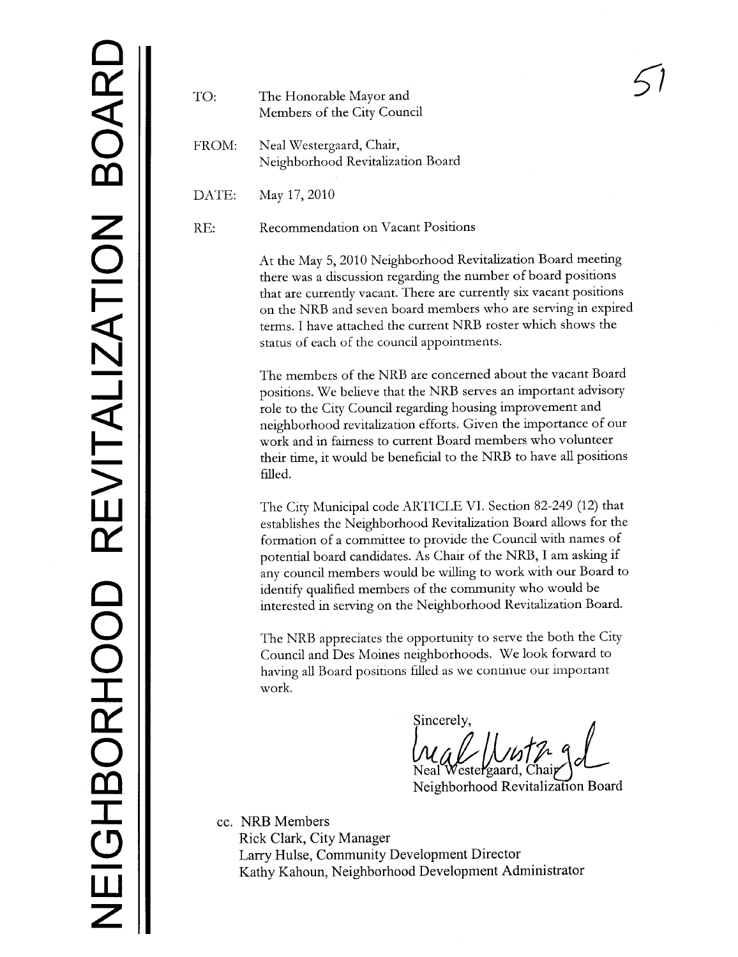## TO: The Honorable Mayor and Members of the City Council

FROM: Neal Westergaard, Chair, Neighborhood Revitalization Board

DATE: May 17,2010

RE: Recommendation on Vacant Positions

At the May 5, 2010 Neighborhood Revitalization Board meetig there was a discussion regarding the number of board positions that are currently vacant. There are currently six vacant positions on the NRB and seven board members who are serving in expired terms. I have attached the current NRB roster which shows the status of each of the council appointments.

The members of the NRB are concerned about the vacant Board positions. We believe that the NRB serves an important advisory role to the City Council regardig housing improvement and neighborhood revitalization efforts. Given the importance of our work and in fairness to current Board members who volunteer their time, it would be beneficial to the NRB to have all positions filed.

The City Municipal code ARTICLE VI. Section 82-249 (12) that establishes the Neighborhood Revitaliation Board allows for the formation of a commttee to provide the Council with names of potential board candidates. As Chair of the NRB, I am askig if any council members would be willing to work with our Board to identify qualified members of the community who would be interested in serving on the Neighborhood Revitalization Board.

The NRB appreciates the opportunity to serve the both the City Council and Des Moines neighborhoods. We look forward to having all Board positions filed as we continue our important work.

Sincerely,

Neal Westergaard, Chair

cc. NRB Members Rick Clark, City Manager Larry Hulse, Community Development Director Kathy Kahoun, Neighborhood Development Administrator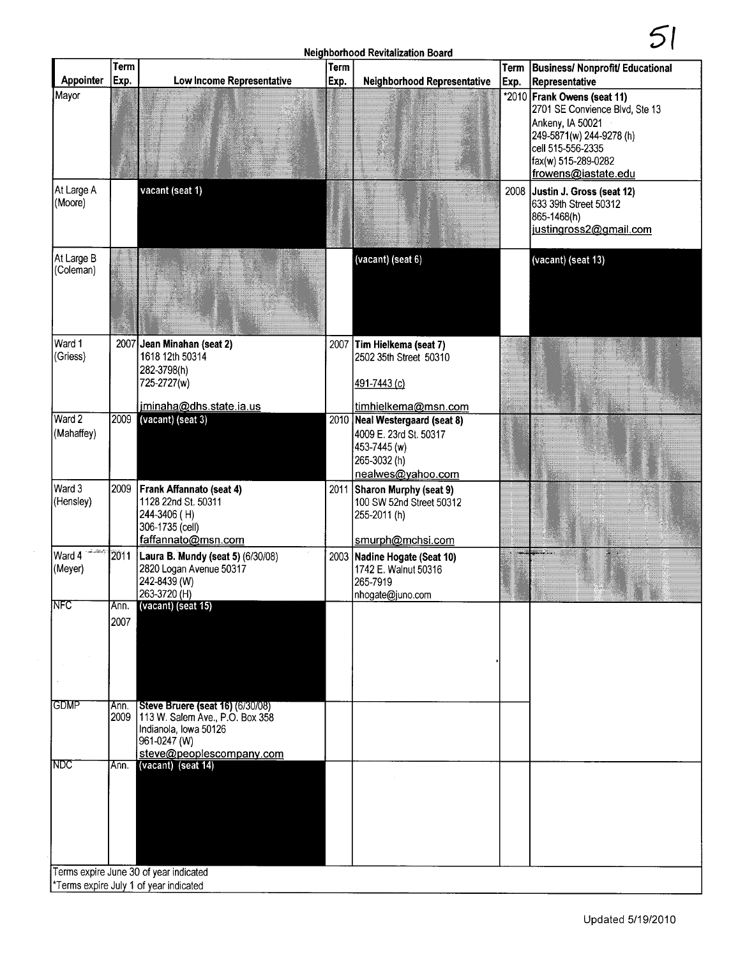## Neighborhood Revitalization Board

|                               | <b>Term</b>  |                                                                                                                                    | <b>Term</b> | ווסטטו ווטטע וועדוונגוונג וואסווויז וואסו                                                                                            |      | Term   Business/ Nonprofit/ Educational                                                                                                                                          |
|-------------------------------|--------------|------------------------------------------------------------------------------------------------------------------------------------|-------------|--------------------------------------------------------------------------------------------------------------------------------------|------|----------------------------------------------------------------------------------------------------------------------------------------------------------------------------------|
| Appointer                     | Exp.         | Low Income Representative                                                                                                          | Exp.        | <b>Neighborhood Representative</b>                                                                                                   | Exp. | Representative                                                                                                                                                                   |
| Mayor                         |              |                                                                                                                                    |             |                                                                                                                                      |      | *2010 Frank Owens (seat 11)<br>2701 SE Convience Blvd, Ste 13<br>Ankeny, IA 50021<br>249-5871(w) 244-9278 (h)<br>cell 515-556-2335<br>fax(w) 515-289-0282<br>frowens@iastate.edu |
| At Large A<br>(Moore)         |              | vacant (seat 1)                                                                                                                    |             |                                                                                                                                      |      | 2008 Justin J. Gross (seat 12)<br>633 39th Street 50312<br>865-1468(h)<br>justingross2@gmail.com                                                                                 |
| At Large B<br>(Coleman)       |              |                                                                                                                                    |             | (vacant) (seat 6)                                                                                                                    |      | (vacant) (seat 13)                                                                                                                                                               |
| Ward 1<br>(Griess)            |              | 2007 Jean Minahan (seat 2)<br>1618 12th 50314<br>282-3798(h)<br>725-2727(w)                                                        |             | 2007 Tim Hielkema (seat 7)<br>2502 35th Street 50310<br>491-7443 (c)                                                                 |      |                                                                                                                                                                                  |
| Ward 2<br>(Mahaffey)          | 2009         | jminaha@dhs.state.ia.us<br>(vacant) (seat 3)                                                                                       |             | timhielkema@msn.com<br>2010 Neal Westergaard (seat 8)<br>4009 E. 23rd St. 50317<br>453-7445 (w)<br>265-3032 (h)<br>nealwes@yahoo.com |      |                                                                                                                                                                                  |
| Ward 3<br>(Hensley)           | 2009         | Frank Affannato (seat 4)<br>1128 22nd St. 50311<br>244-3406 (H)<br>306-1735 (cell)<br>faffannato@msn.com                           |             | 2011 Sharon Murphy (seat 9)<br>100 SW 52nd Street 50312<br>255-2011 (h)<br>smurph@mchsi.com                                          |      |                                                                                                                                                                                  |
| وتشاهدهم<br>Ward 4<br>(Meyer) | 2011         | Laura B. Mundy (seat 5) (6/30/08)<br>2820 Logan Avenue 50317<br>242-8439 (W)<br>263-3720 (H)                                       |             | 2003 Nadine Hogate (Seat 10)<br>1742 E. Walnut 50316<br>265-7919<br>Inhogate@juno.com                                                |      |                                                                                                                                                                                  |
| INFC                          | Ann.<br>2007 | (vacant) (seat 15)                                                                                                                 |             |                                                                                                                                      |      |                                                                                                                                                                                  |
| <b>GDMP</b>                   | Ann.<br>2009 | <b>Steve Bruere (seat 16) (6/30/08)</b><br>113 W. Salem Ave., P.O. Box 358<br>Indianola, Iowa 50126<br>961-0247 (W)                |             |                                                                                                                                      |      |                                                                                                                                                                                  |
| NDC                           | Ann.         | steve@peoplescompany.com<br>(vacant) (seat 14)<br>Terms expire June 30 of year indicated<br>*Terms expire July 1 of year indicated |             |                                                                                                                                      |      |                                                                                                                                                                                  |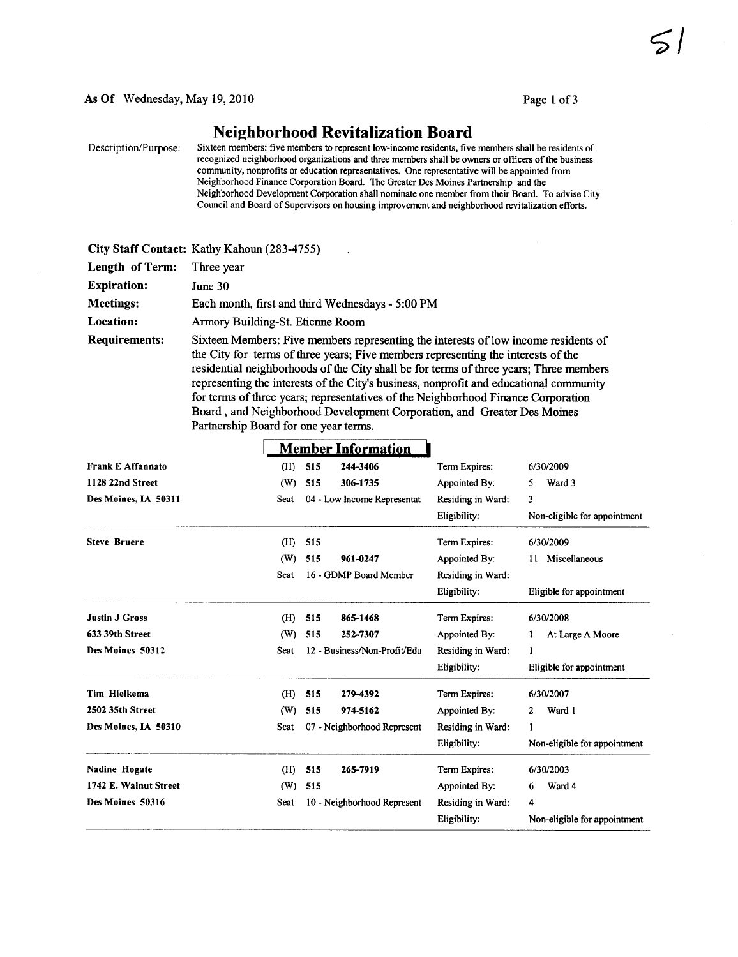## Neighborhood Revitalization Board

Description/Purpose: Sixteen members: five members to represent low-income residents, five members shall be residents of recognized neighborhood organizations and three members shall be owners or officers of the business community, nonprofits or education representatives. One reresentative will be appointed from Neighborhood Finance Corporation Board. The Greater Des Moines Partnership and the Neighborhood Development Corporation shall nominate one member from their Board. To advise City Council and Board of Supervisors on housing improvement and neighborhood revitalization efforts.

|                      | City Staff Contact: Kathy Kahoun (283-4755)                                                                                                                                                                                                                                                                                                                                                                                                                                                                                                                           |
|----------------------|-----------------------------------------------------------------------------------------------------------------------------------------------------------------------------------------------------------------------------------------------------------------------------------------------------------------------------------------------------------------------------------------------------------------------------------------------------------------------------------------------------------------------------------------------------------------------|
| Length of Term:      | Three year                                                                                                                                                                                                                                                                                                                                                                                                                                                                                                                                                            |
| <b>Expiration:</b>   | June 30                                                                                                                                                                                                                                                                                                                                                                                                                                                                                                                                                               |
| <b>Meetings:</b>     | Each month, first and third Wednesdays - 5:00 PM                                                                                                                                                                                                                                                                                                                                                                                                                                                                                                                      |
| Location:            | Armory Building-St. Etienne Room                                                                                                                                                                                                                                                                                                                                                                                                                                                                                                                                      |
| <b>Requirements:</b> | Sixteen Members: Five members representing the interests of low income residents of<br>the City for terms of three years; Five members representing the interests of the<br>residential neighborhoods of the City shall be for terms of three years; Three members<br>representing the interests of the City's business, nonprofit and educational community<br>for terms of three years; representatives of the Neighborhood Finance Corporation<br>Board, and Neighborhood Development Corporation, and Greater Des Moines<br>Partnership Board for one year terms. |

|                          | <b>Member Information</b> |                              |                   |                              |
|--------------------------|---------------------------|------------------------------|-------------------|------------------------------|
| <b>Frank E Affannato</b> | (H)                       | 244-3406<br>515              | Term Expires:     | 6/30/2009                    |
| 1128 22nd Street         | (W)                       | 306-1735<br>515              | Appointed By:     | Ward 3<br>5                  |
| Des Moines, IA 50311     | Seat                      | 04 - Low Income Representat  | Residing in Ward: | 3                            |
|                          |                           |                              | Eligibility:      | Non-eligible for appointment |
| <b>Steve Bruere</b>      | (H)                       | 515                          | Term Expires:     | 6/30/2009                    |
|                          | (W)                       | 515<br>961-0247              | Appointed By:     | Miscellaneous<br>11          |
|                          | Seat                      | 16 - GDMP Board Member       | Residing in Ward: |                              |
|                          |                           |                              | Eligibility:      | Eligible for appointment     |
| <b>Justin J Gross</b>    | (H)                       | 865-1468<br>515              | Term Expires:     | 6/30/2008                    |
| 633 39th Street          | (W)                       | 515<br>252-7307              | Appointed By:     | At Large A Moore<br>1.       |
| Des Moines 50312         | Seat                      | 12 - Business/Non-Profit/Edu | Residing in Ward: | 1                            |
|                          |                           |                              | Eligibility:      | Eligible for appointment     |
| Tim Hielkema             | (H)                       | 515<br>279-4392              | Term Expires:     | 6/30/2007                    |
| 2502 35th Street         | (W)                       | 974-5162<br>515              | Appointed By:     | Ward 1<br>2                  |
| Des Moines, IA 50310     | Seat                      | 07 - Neighborhood Represent  | Residing in Ward: | 1                            |
|                          |                           |                              | Eligibility:      | Non-eligible for appointment |
| <b>Nadine Hogate</b>     | (H)                       | 515<br>265-7919              | Term Expires:     | 6/30/2003                    |
| 1742 E. Walnut Street    | (W)                       | 515                          | Appointed By:     | Ward 4<br>6                  |
| Des Moines 50316         | Seat                      | 10 - Neighborhood Represent  | Residing in Ward: | 4                            |
|                          |                           |                              | Eligibility:      | Non-eligible for appointment |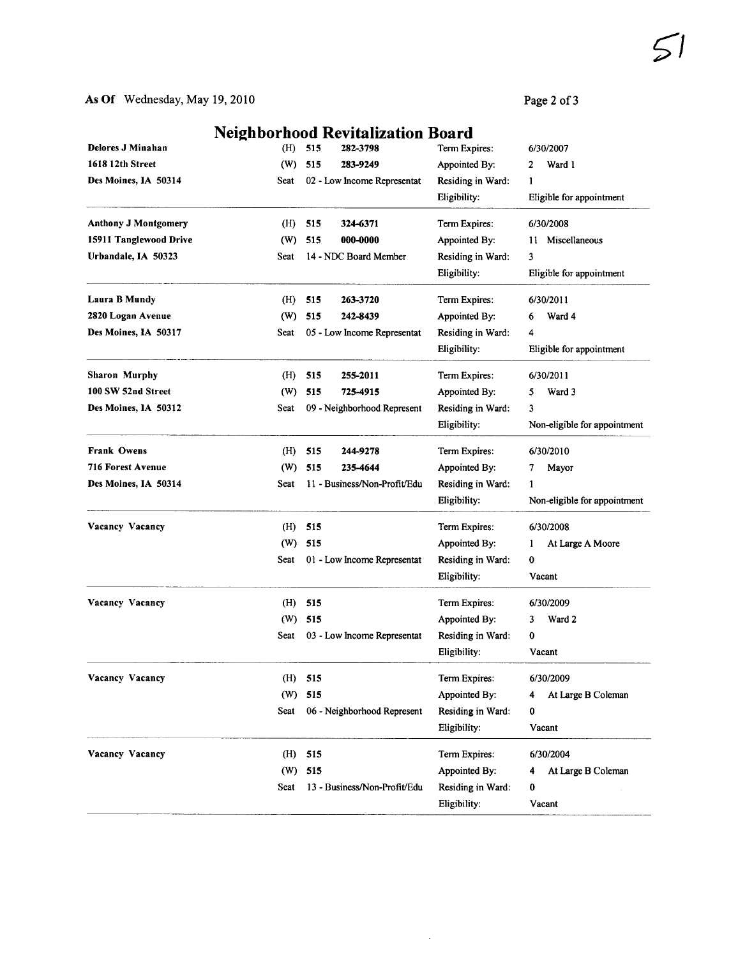Page 2 of 3

|                             |      | <b>Neighborhood Revitalization Board</b> |                   |                              |
|-----------------------------|------|------------------------------------------|-------------------|------------------------------|
| <b>Delores J Minahan</b>    | (H)  | 515<br>282-3798                          | Term Expires:     | 6/30/2007                    |
| 1618 12th Street            | (W)  | 283-9249<br>515                          | Appointed By:     | Ward 1<br>2                  |
| Des Moines, IA 50314        | Seat | 02 - Low Income Representat              | Residing in Ward: | 1                            |
|                             |      |                                          | Eligibility:      | Eligible for appointment     |
| <b>Anthony J Montgomery</b> | (H)  | 515<br>324-6371                          | Term Expires:     | 6/30/2008                    |
| 15911 Tanglewood Drive      | (W)  | 515<br>000-0000                          | Appointed By:     | 11 Miscellaneous             |
| Urbandale, IA 50323         | Seat | 14 - NDC Board Member                    | Residing in Ward: | 3                            |
|                             |      |                                          | Eligibility:      | Eligible for appointment     |
| Laura B Mundy               | (H)  | 515<br>263-3720                          | Term Expires:     | 6/30/2011                    |
| 2820 Logan Avenue           | (W)  | 515<br>242-8439                          | Appointed By:     | Ward 4<br>6                  |
| Des Moines, IA 50317        | Seat | 05 - Low Income Representat              | Residing in Ward: | 4                            |
|                             |      |                                          | Eligibility:      | Eligible for appointment     |
| <b>Sharon Murphy</b>        | (H)  | 515<br>255-2011                          | Term Expires:     | 6/30/2011                    |
| 100 SW 52nd Street          | (W)  | 515<br>725-4915                          | Appointed By:     | Ward 3<br>5                  |
| Des Moines, 1A 50312        | Seat | 09 - Neighborhood Represent              | Residing in Ward: | 3                            |
|                             |      |                                          | Eligibility:      | Non-eligible for appointment |
| <b>Frank Owens</b>          | (H)  | 515<br>244-9278                          | Term Expires:     | 6/30/2010                    |
| <b>716 Forest Avenue</b>    | (W)  | 515<br>235-4644                          | Appointed By:     | Mayor<br>7                   |
| Des Moines, IA 50314        | Seat | 11 - Business/Non-Profit/Edu             | Residing in Ward: | 1                            |
|                             |      |                                          | Eligibility:      | Non-eligible for appointment |
| Vacancy Vacancy             | (H)  | 515                                      | Term Expires:     | 6/30/2008                    |
|                             | (W)  | 515                                      | Appointed By:     | At Large A Moore<br>1        |
|                             | Seat | 01 - Low Income Representat              | Residing in Ward: | $\bf{0}$                     |
|                             |      |                                          | Eligibility:      | Vacant                       |
| Vacancy Vacancy             | (H)  | 515                                      | Term Expires:     | 6/30/2009                    |
|                             | (W)  | 515                                      | Appointed By:     | Ward 2<br>3                  |
|                             | Seat | 03 - Low Income Representat              | Residing in Ward: | 0                            |
|                             |      |                                          | Eligibility:      | Vacant                       |
| Vacancy Vacancy             | (H)  | 515                                      | Term Expires:     | 6/30/2009                    |
|                             | (W)  | 515                                      | Appointed By:     | At Large B Coleman<br>4      |
|                             | Seat | 06 - Neighborhood Represent              | Residing in Ward: | 0                            |
|                             |      |                                          | Eligibility:      | Vacant                       |
| Vacancy Vacancy             | (H)  | 515                                      | Term Expires:     | 6/30/2004                    |
|                             | (W)  | 515                                      | Appointed By:     | At Large B Coleman<br>4      |
|                             | Seat | 13 - Business/Non-Profit/Edu             | Residing in Ward: | 0                            |
|                             |      |                                          | Eligibility:      | Vacant                       |

 $\mathcal{A}^{\pm}$